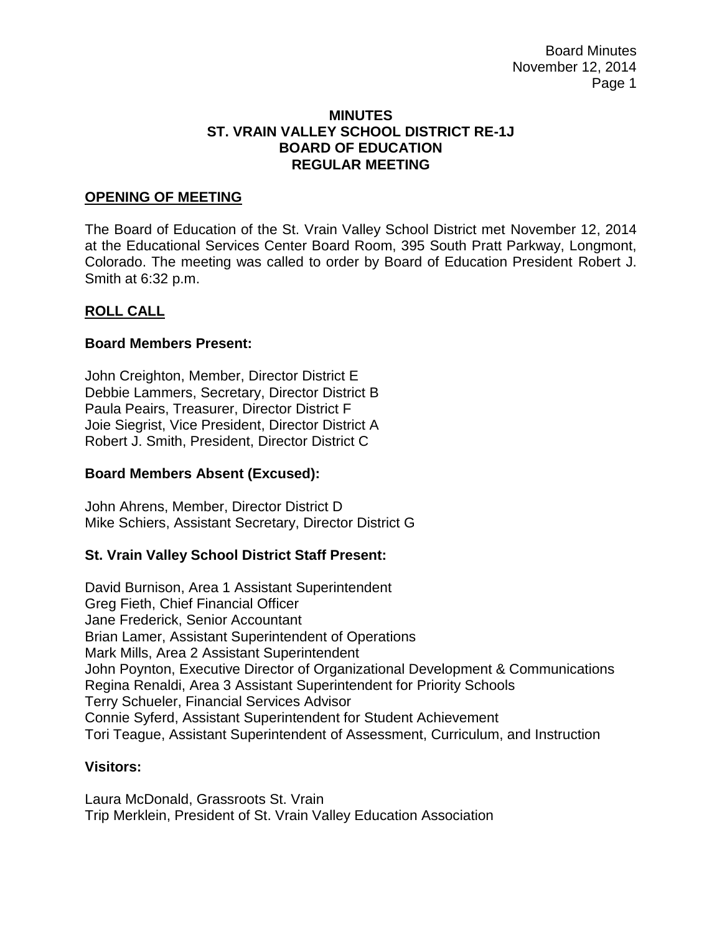Board Minutes November 12, 2014 Page 1

### **MINUTES ST. VRAIN VALLEY SCHOOL DISTRICT RE-1J BOARD OF EDUCATION REGULAR MEETING**

### **OPENING OF MEETING**

The Board of Education of the St. Vrain Valley School District met November 12, 2014 at the Educational Services Center Board Room, 395 South Pratt Parkway, Longmont, Colorado. The meeting was called to order by Board of Education President Robert J. Smith at 6:32 p.m.

### **ROLL CALL**

### **Board Members Present:**

John Creighton, Member, Director District E Debbie Lammers, Secretary, Director District B Paula Peairs, Treasurer, Director District F Joie Siegrist, Vice President, Director District A Robert J. Smith, President, Director District C

#### **Board Members Absent (Excused):**

John Ahrens, Member, Director District D Mike Schiers, Assistant Secretary, Director District G

### **St. Vrain Valley School District Staff Present:**

David Burnison, Area 1 Assistant Superintendent Greg Fieth, Chief Financial Officer Jane Frederick, Senior Accountant Brian Lamer, Assistant Superintendent of Operations Mark Mills, Area 2 Assistant Superintendent John Poynton, Executive Director of Organizational Development & Communications Regina Renaldi, Area 3 Assistant Superintendent for Priority Schools Terry Schueler, Financial Services Advisor Connie Syferd, Assistant Superintendent for Student Achievement Tori Teague, Assistant Superintendent of Assessment, Curriculum, and Instruction

#### **Visitors:**

Laura McDonald, Grassroots St. Vrain Trip Merklein, President of St. Vrain Valley Education Association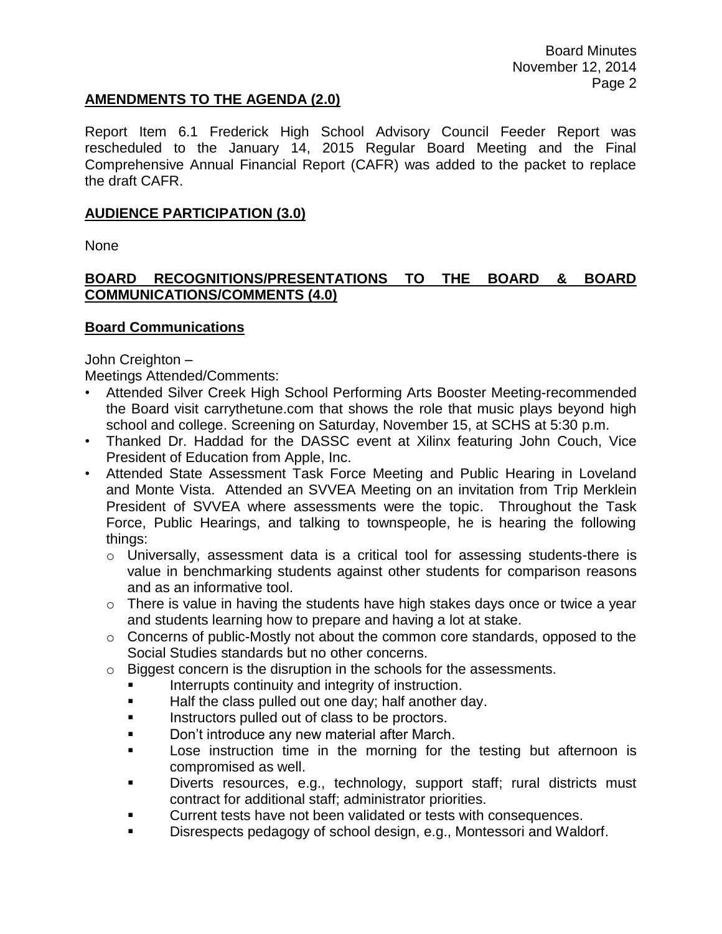## **AMENDMENTS TO THE AGENDA (2.0)**

Report Item 6.1 Frederick High School Advisory Council Feeder Report was rescheduled to the January 14, 2015 Regular Board Meeting and the Final Comprehensive Annual Financial Report (CAFR) was added to the packet to replace the draft CAFR.

## **AUDIENCE PARTICIPATION (3.0)**

None

# **BOARD RECOGNITIONS/PRESENTATIONS TO THE BOARD & BOARD COMMUNICATIONS/COMMENTS (4.0)**

### **Board Communications**

John Creighton –

Meetings Attended/Comments:

- Attended Silver Creek High School Performing Arts Booster Meeting-recommended the Board visit carrythetune.com that shows the role that music plays beyond high school and college. Screening on Saturday, November 15, at SCHS at 5:30 p.m.
- Thanked Dr. Haddad for the DASSC event at Xilinx featuring John Couch, Vice President of Education from Apple, Inc.
- Attended State Assessment Task Force Meeting and Public Hearing in Loveland and Monte Vista. Attended an SVVEA Meeting on an invitation from Trip Merklein President of SVVEA where assessments were the topic. Throughout the Task Force, Public Hearings, and talking to townspeople, he is hearing the following things:
	- o Universally, assessment data is a critical tool for assessing students-there is value in benchmarking students against other students for comparison reasons and as an informative tool.
	- $\circ$  There is value in having the students have high stakes days once or twice a year and students learning how to prepare and having a lot at stake.
	- o Concerns of public-Mostly not about the common core standards, opposed to the Social Studies standards but no other concerns.
	- $\circ$  Biggest concern is the disruption in the schools for the assessments.
		- Interrupts continuity and integrity of instruction.
		- **Half the class pulled out one day; half another day.**
		- Instructors pulled out of class to be proctors.
		- **Don't introduce any new material after March.**
		- **Lose instruction time in the morning for the testing but afternoon is** compromised as well.
		- Diverts resources, e.g., technology, support staff; rural districts must contract for additional staff; administrator priorities.
		- Current tests have not been validated or tests with consequences.
		- Disrespects pedagogy of school design, e.g., Montessori and Waldorf.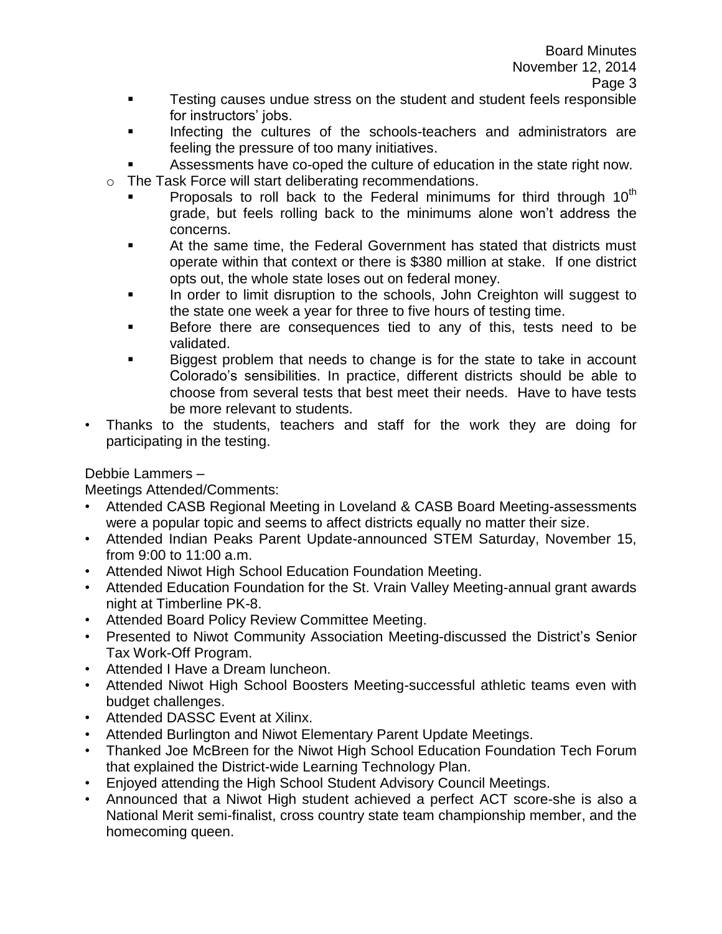- **Testing causes undue stress on the student and student feels responsible** for instructors' jobs.
- **Infecting the cultures of the schools-teachers and administrators are** feeling the pressure of too many initiatives.
- Assessments have co-oped the culture of education in the state right now.
- o The Task Force will start deliberating recommendations.
	- Proposals to roll back to the Federal minimums for third through  $10<sup>th</sup>$ grade, but feels rolling back to the minimums alone won't address the concerns.
	- **EXECT** At the same time, the Federal Government has stated that districts must operate within that context or there is \$380 million at stake. If one district opts out, the whole state loses out on federal money.
	- In order to limit disruption to the schools, John Creighton will suggest to the state one week a year for three to five hours of testing time.
	- Before there are consequences tied to any of this, tests need to be validated.
	- Biggest problem that needs to change is for the state to take in account Colorado's sensibilities. In practice, different districts should be able to choose from several tests that best meet their needs. Have to have tests be more relevant to students.
- Thanks to the students, teachers and staff for the work they are doing for participating in the testing.

Debbie Lammers –

Meetings Attended/Comments:

- Attended CASB Regional Meeting in Loveland & CASB Board Meeting-assessments were a popular topic and seems to affect districts equally no matter their size.
- Attended Indian Peaks Parent Update-announced STEM Saturday, November 15, from 9:00 to 11:00 a.m.
- Attended Niwot High School Education Foundation Meeting.
- Attended Education Foundation for the St. Vrain Valley Meeting-annual grant awards night at Timberline PK-8.
- Attended Board Policy Review Committee Meeting.
- Presented to Niwot Community Association Meeting-discussed the District's Senior Tax Work-Off Program.
- Attended I Have a Dream luncheon.
- Attended Niwot High School Boosters Meeting-successful athletic teams even with budget challenges.
- Attended DASSC Event at Xilinx.
- Attended Burlington and Niwot Elementary Parent Update Meetings.
- Thanked Joe McBreen for the Niwot High School Education Foundation Tech Forum that explained the District-wide Learning Technology Plan.
- Enjoyed attending the High School Student Advisory Council Meetings.
- Announced that a Niwot High student achieved a perfect ACT score-she is also a National Merit semi-finalist, cross country state team championship member, and the homecoming queen.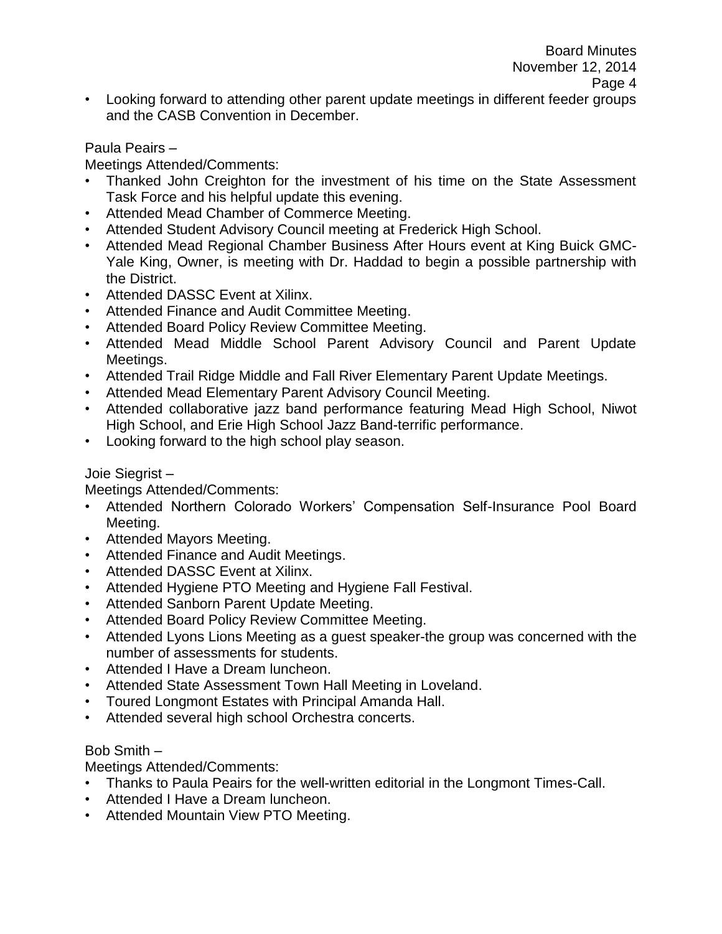• Looking forward to attending other parent update meetings in different feeder groups and the CASB Convention in December.

### Paula Peairs –

Meetings Attended/Comments:

- Thanked John Creighton for the investment of his time on the State Assessment Task Force and his helpful update this evening.
- Attended Mead Chamber of Commerce Meeting.
- Attended Student Advisory Council meeting at Frederick High School.
- Attended Mead Regional Chamber Business After Hours event at King Buick GMC-Yale King, Owner, is meeting with Dr. Haddad to begin a possible partnership with the District.
- Attended DASSC Event at Xilinx.
- Attended Finance and Audit Committee Meeting.
- Attended Board Policy Review Committee Meeting.
- Attended Mead Middle School Parent Advisory Council and Parent Update Meetings.
- Attended Trail Ridge Middle and Fall River Elementary Parent Update Meetings.
- Attended Mead Elementary Parent Advisory Council Meeting.
- Attended collaborative jazz band performance featuring Mead High School, Niwot High School, and Erie High School Jazz Band-terrific performance.
- Looking forward to the high school play season.

#### Joie Siegrist –

Meetings Attended/Comments:

- Attended Northern Colorado Workers' Compensation Self-Insurance Pool Board Meeting.
- Attended Mayors Meeting.
- Attended Finance and Audit Meetings.
- Attended DASSC Event at Xilinx.
- Attended Hygiene PTO Meeting and Hygiene Fall Festival.
- Attended Sanborn Parent Update Meeting.
- Attended Board Policy Review Committee Meeting.
- Attended Lyons Lions Meeting as a guest speaker-the group was concerned with the number of assessments for students.
- Attended I Have a Dream luncheon.
- Attended State Assessment Town Hall Meeting in Loveland.
- Toured Longmont Estates with Principal Amanda Hall.
- Attended several high school Orchestra concerts.

#### Bob Smith –

Meetings Attended/Comments:

- Thanks to Paula Peairs for the well-written editorial in the Longmont Times-Call.
- Attended I Have a Dream luncheon.
- Attended Mountain View PTO Meeting.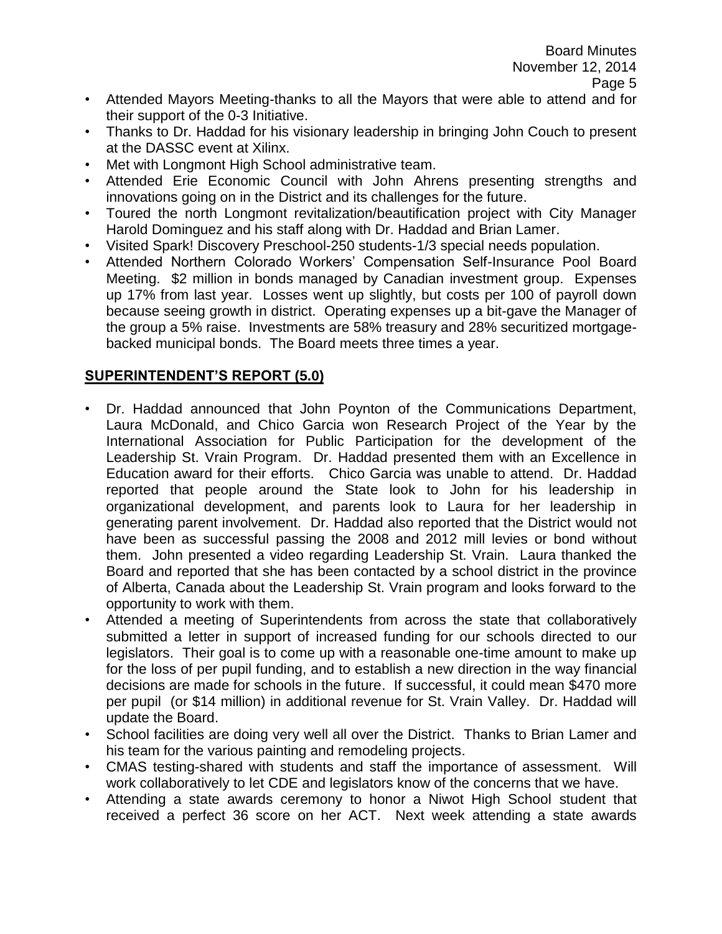- Attended Mayors Meeting-thanks to all the Mayors that were able to attend and for their support of the 0-3 Initiative.
- Thanks to Dr. Haddad for his visionary leadership in bringing John Couch to present at the DASSC event at Xilinx.
- Met with Longmont High School administrative team.
- Attended Erie Economic Council with John Ahrens presenting strengths and innovations going on in the District and its challenges for the future.
- Toured the north Longmont revitalization/beautification project with City Manager Harold Dominguez and his staff along with Dr. Haddad and Brian Lamer.
- Visited Spark! Discovery Preschool-250 students-1/3 special needs population.
- Attended Northern Colorado Workers' Compensation Self-Insurance Pool Board Meeting. \$2 million in bonds managed by Canadian investment group. Expenses up 17% from last year. Losses went up slightly, but costs per 100 of payroll down because seeing growth in district. Operating expenses up a bit-gave the Manager of the group a 5% raise. Investments are 58% treasury and 28% securitized mortgagebacked municipal bonds. The Board meets three times a year.

# **SUPERINTENDENT'S REPORT (5.0)**

- Dr. Haddad announced that John Poynton of the Communications Department, Laura McDonald, and Chico Garcia won Research Project of the Year by the International Association for Public Participation for the development of the Leadership St. Vrain Program. Dr. Haddad presented them with an Excellence in Education award for their efforts. Chico Garcia was unable to attend. Dr. Haddad reported that people around the State look to John for his leadership in organizational development, and parents look to Laura for her leadership in generating parent involvement. Dr. Haddad also reported that the District would not have been as successful passing the 2008 and 2012 mill levies or bond without them. John presented a video regarding Leadership St. Vrain. Laura thanked the Board and reported that she has been contacted by a school district in the province of Alberta, Canada about the Leadership St. Vrain program and looks forward to the opportunity to work with them.
- Attended a meeting of Superintendents from across the state that collaboratively submitted a letter in support of increased funding for our schools directed to our legislators. Their goal is to come up with a reasonable one-time amount to make up for the loss of per pupil funding, and to establish a new direction in the way financial decisions are made for schools in the future. If successful, it could mean \$470 more per pupil (or \$14 million) in additional revenue for St. Vrain Valley. Dr. Haddad will update the Board.
- School facilities are doing very well all over the District. Thanks to Brian Lamer and his team for the various painting and remodeling projects.
- CMAS testing-shared with students and staff the importance of assessment. Will work collaboratively to let CDE and legislators know of the concerns that we have.
- Attending a state awards ceremony to honor a Niwot High School student that received a perfect 36 score on her ACT. Next week attending a state awards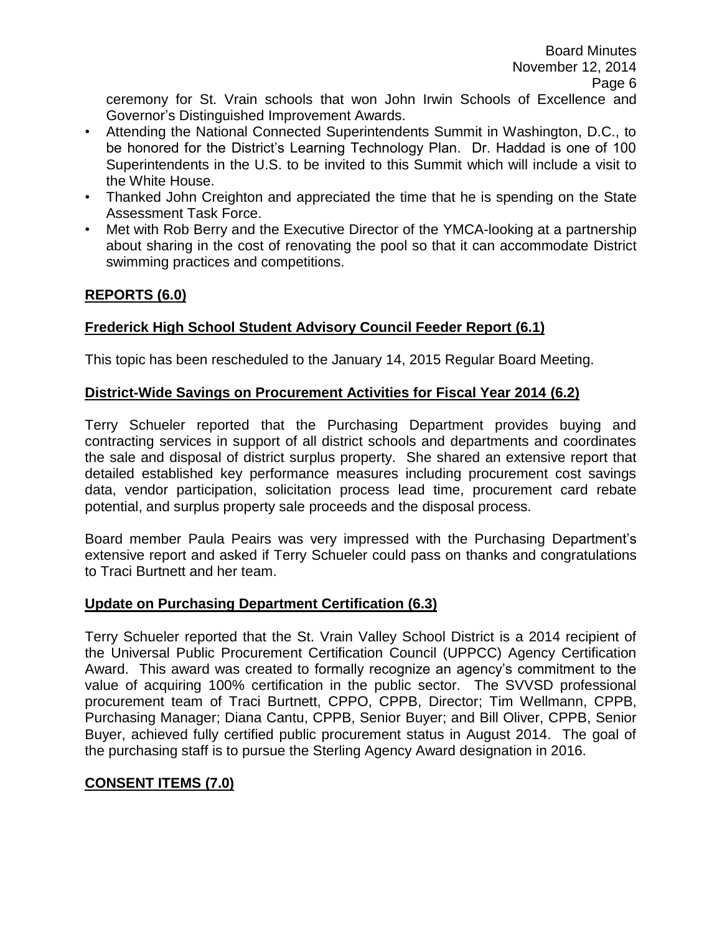ceremony for St. Vrain schools that won John Irwin Schools of Excellence and Governor's Distinguished Improvement Awards.

- Attending the National Connected Superintendents Summit in Washington, D.C., to be honored for the District's Learning Technology Plan. Dr. Haddad is one of 100 Superintendents in the U.S. to be invited to this Summit which will include a visit to the White House.
- Thanked John Creighton and appreciated the time that he is spending on the State Assessment Task Force.
- Met with Rob Berry and the Executive Director of the YMCA-looking at a partnership about sharing in the cost of renovating the pool so that it can accommodate District swimming practices and competitions.

# **REPORTS (6.0)**

# **Frederick High School Student Advisory Council Feeder Report (6.1)**

This topic has been rescheduled to the January 14, 2015 Regular Board Meeting.

# **District-Wide Savings on Procurement Activities for Fiscal Year 2014 (6.2)**

Terry Schueler reported that the Purchasing Department provides buying and contracting services in support of all district schools and departments and coordinates the sale and disposal of district surplus property. She shared an extensive report that detailed established key performance measures including procurement cost savings data, vendor participation, solicitation process lead time, procurement card rebate potential, and surplus property sale proceeds and the disposal process.

Board member Paula Peairs was very impressed with the Purchasing Department's extensive report and asked if Terry Schueler could pass on thanks and congratulations to Traci Burtnett and her team.

# **Update on Purchasing Department Certification (6.3)**

Terry Schueler reported that the St. Vrain Valley School District is a 2014 recipient of the Universal Public Procurement Certification Council (UPPCC) Agency Certification Award. This award was created to formally recognize an agency's commitment to the value of acquiring 100% certification in the public sector. The SVVSD professional procurement team of Traci Burtnett, CPPO, CPPB, Director; Tim Wellmann, CPPB, Purchasing Manager; Diana Cantu, CPPB, Senior Buyer; and Bill Oliver, CPPB, Senior Buyer, achieved fully certified public procurement status in August 2014. The goal of the purchasing staff is to pursue the Sterling Agency Award designation in 2016.

# **CONSENT ITEMS (7.0)**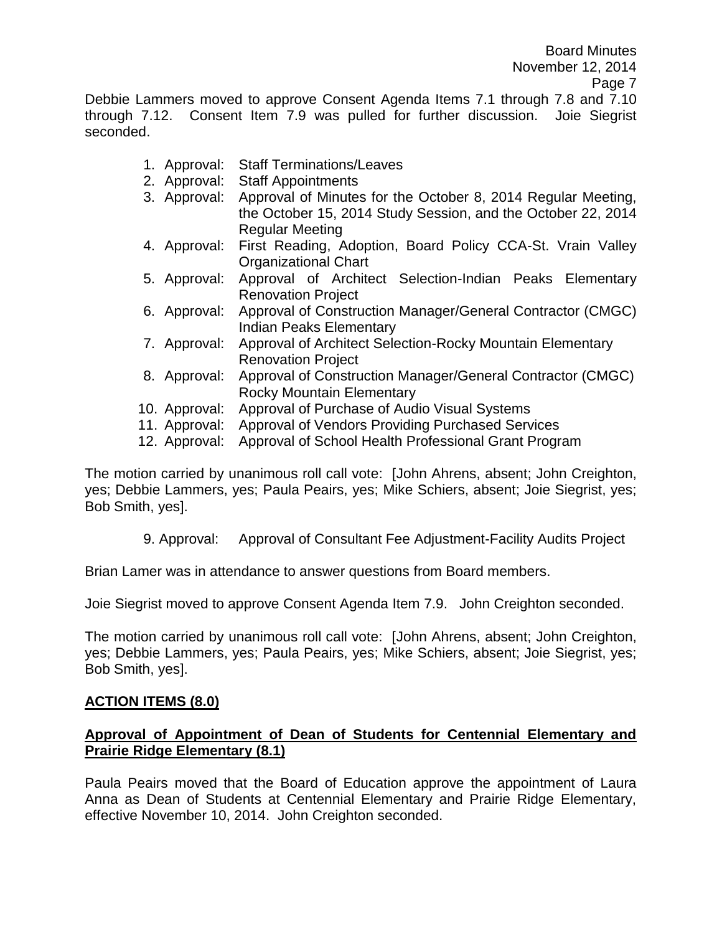Debbie Lammers moved to approve Consent Agenda Items 7.1 through 7.8 and 7.10 through 7.12. Consent Item 7.9 was pulled for further discussion. Joie Siegrist seconded.

- 1. Approval: Staff Terminations/Leaves
- 2. Approval: Staff Appointments
- 3. Approval: Approval of Minutes for the October 8, 2014 Regular Meeting, the October 15, 2014 Study Session, and the October 22, 2014 Regular Meeting
- 4. Approval: First Reading, Adoption, Board Policy CCA-St. Vrain Valley Organizational Chart
- 5. Approval: Approval of Architect Selection-Indian Peaks Elementary Renovation Project
- 6. Approval: Approval of Construction Manager/General Contractor (CMGC) Indian Peaks Elementary
- 7. Approval: Approval of Architect Selection-Rocky Mountain Elementary Renovation Project
- 8. Approval: Approval of Construction Manager/General Contractor (CMGC) Rocky Mountain Elementary
- 10. Approval: Approval of Purchase of Audio Visual Systems
- 11. Approval: Approval of Vendors Providing Purchased Services
- 12. Approval: Approval of School Health Professional Grant Program

The motion carried by unanimous roll call vote: [John Ahrens, absent; John Creighton, yes; Debbie Lammers, yes; Paula Peairs, yes; Mike Schiers, absent; Joie Siegrist, yes; Bob Smith, yes].

9. Approval: Approval of Consultant Fee Adjustment-Facility Audits Project

Brian Lamer was in attendance to answer questions from Board members.

Joie Siegrist moved to approve Consent Agenda Item 7.9. John Creighton seconded.

The motion carried by unanimous roll call vote: [John Ahrens, absent; John Creighton, yes; Debbie Lammers, yes; Paula Peairs, yes; Mike Schiers, absent; Joie Siegrist, yes; Bob Smith, yes].

### **ACTION ITEMS (8.0)**

### **Approval of Appointment of Dean of Students for Centennial Elementary and Prairie Ridge Elementary (8.1)**

Paula Peairs moved that the Board of Education approve the appointment of Laura Anna as Dean of Students at Centennial Elementary and Prairie Ridge Elementary, effective November 10, 2014. John Creighton seconded.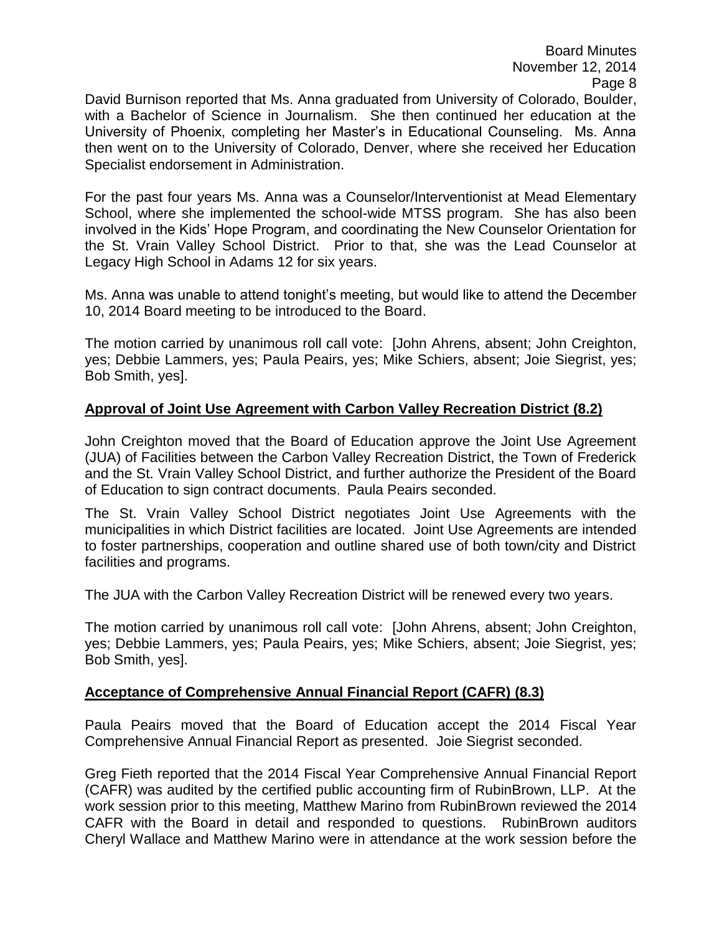David Burnison reported that Ms. Anna graduated from University of Colorado, Boulder, with a Bachelor of Science in Journalism. She then continued her education at the University of Phoenix, completing her Master's in Educational Counseling. Ms. Anna then went on to the University of Colorado, Denver, where she received her Education Specialist endorsement in Administration.

For the past four years Ms. Anna was a Counselor/Interventionist at Mead Elementary School, where she implemented the school-wide MTSS program. She has also been involved in the Kids' Hope Program, and coordinating the New Counselor Orientation for the St. Vrain Valley School District. Prior to that, she was the Lead Counselor at Legacy High School in Adams 12 for six years.

Ms. Anna was unable to attend tonight's meeting, but would like to attend the December 10, 2014 Board meeting to be introduced to the Board.

The motion carried by unanimous roll call vote: [John Ahrens, absent; John Creighton, yes; Debbie Lammers, yes; Paula Peairs, yes; Mike Schiers, absent; Joie Siegrist, yes; Bob Smith, yes].

# **Approval of Joint Use Agreement with Carbon Valley Recreation District (8.2)**

John Creighton moved that the Board of Education approve the Joint Use Agreement (JUA) of Facilities between the Carbon Valley Recreation District, the Town of Frederick and the St. Vrain Valley School District, and further authorize the President of the Board of Education to sign contract documents. Paula Peairs seconded.

The St. Vrain Valley School District negotiates Joint Use Agreements with the municipalities in which District facilities are located. Joint Use Agreements are intended to foster partnerships, cooperation and outline shared use of both town/city and District facilities and programs.

The JUA with the Carbon Valley Recreation District will be renewed every two years.

The motion carried by unanimous roll call vote: [John Ahrens, absent; John Creighton, yes; Debbie Lammers, yes; Paula Peairs, yes; Mike Schiers, absent; Joie Siegrist, yes; Bob Smith, yes].

### **Acceptance of Comprehensive Annual Financial Report (CAFR) (8.3)**

Paula Peairs moved that the Board of Education accept the 2014 Fiscal Year Comprehensive Annual Financial Report as presented. Joie Siegrist seconded.

Greg Fieth reported that the 2014 Fiscal Year Comprehensive Annual Financial Report (CAFR) was audited by the certified public accounting firm of RubinBrown, LLP. At the work session prior to this meeting, Matthew Marino from RubinBrown reviewed the 2014 CAFR with the Board in detail and responded to questions. RubinBrown auditors Cheryl Wallace and Matthew Marino were in attendance at the work session before the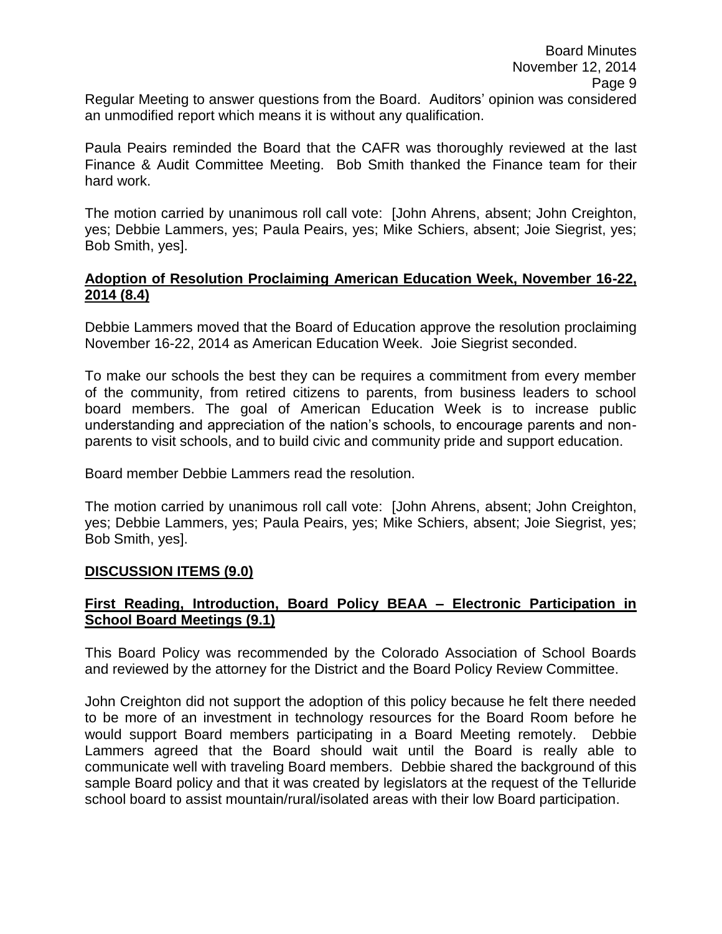Regular Meeting to answer questions from the Board. Auditors' opinion was considered an unmodified report which means it is without any qualification.

Paula Peairs reminded the Board that the CAFR was thoroughly reviewed at the last Finance & Audit Committee Meeting. Bob Smith thanked the Finance team for their hard work.

The motion carried by unanimous roll call vote: [John Ahrens, absent; John Creighton, yes; Debbie Lammers, yes; Paula Peairs, yes; Mike Schiers, absent; Joie Siegrist, yes; Bob Smith, yes].

### **Adoption of Resolution Proclaiming American Education Week, November 16-22, 2014 (8.4)**

Debbie Lammers moved that the Board of Education approve the resolution proclaiming November 16-22, 2014 as American Education Week. Joie Siegrist seconded.

To make our schools the best they can be requires a commitment from every member of the community, from retired citizens to parents, from business leaders to school board members. The goal of American Education Week is to increase public understanding and appreciation of the nation's schools, to encourage parents and nonparents to visit schools, and to build civic and community pride and support education.

Board member Debbie Lammers read the resolution.

The motion carried by unanimous roll call vote: [John Ahrens, absent; John Creighton, yes; Debbie Lammers, yes; Paula Peairs, yes; Mike Schiers, absent; Joie Siegrist, yes; Bob Smith, yes].

### **DISCUSSION ITEMS (9.0)**

# **First Reading, Introduction, Board Policy BEAA – Electronic Participation in School Board Meetings (9.1)**

This Board Policy was recommended by the Colorado Association of School Boards and reviewed by the attorney for the District and the Board Policy Review Committee.

John Creighton did not support the adoption of this policy because he felt there needed to be more of an investment in technology resources for the Board Room before he would support Board members participating in a Board Meeting remotely. Debbie Lammers agreed that the Board should wait until the Board is really able to communicate well with traveling Board members. Debbie shared the background of this sample Board policy and that it was created by legislators at the request of the Telluride school board to assist mountain/rural/isolated areas with their low Board participation.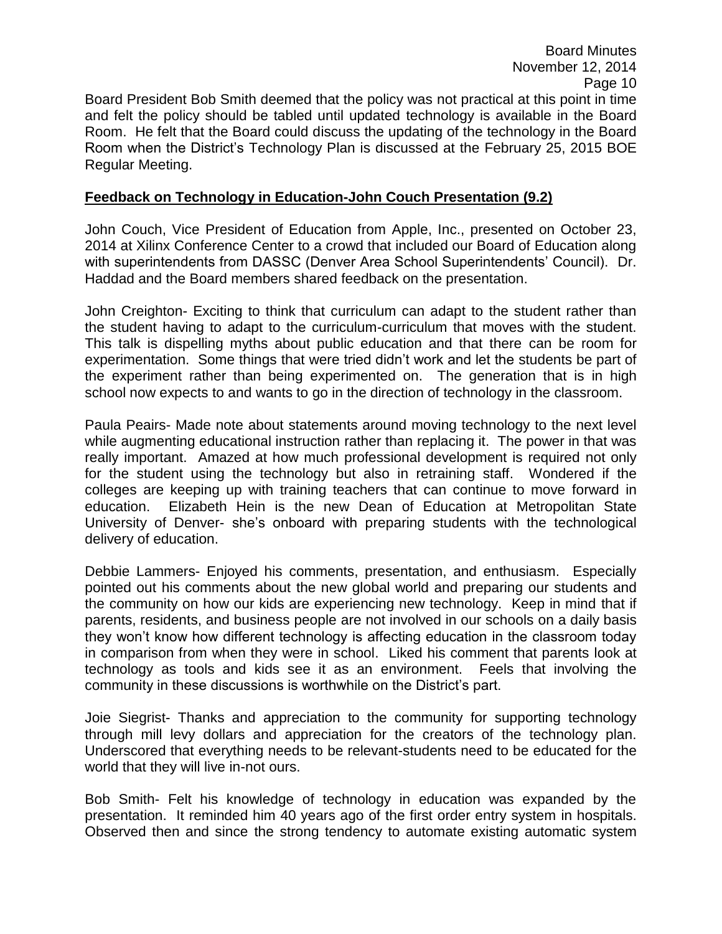November 12, 2014 Page 10 Board President Bob Smith deemed that the policy was not practical at this point in time and felt the policy should be tabled until updated technology is available in the Board Room. He felt that the Board could discuss the updating of the technology in the Board Room when the District's Technology Plan is discussed at the February 25, 2015 BOE Regular Meeting.

Board Minutes

### **Feedback on Technology in Education-John Couch Presentation (9.2)**

John Couch, Vice President of Education from Apple, Inc., presented on October 23, 2014 at Xilinx Conference Center to a crowd that included our Board of Education along with superintendents from DASSC (Denver Area School Superintendents' Council). Dr. Haddad and the Board members shared feedback on the presentation.

John Creighton- Exciting to think that curriculum can adapt to the student rather than the student having to adapt to the curriculum-curriculum that moves with the student. This talk is dispelling myths about public education and that there can be room for experimentation. Some things that were tried didn't work and let the students be part of the experiment rather than being experimented on. The generation that is in high school now expects to and wants to go in the direction of technology in the classroom.

Paula Peairs- Made note about statements around moving technology to the next level while augmenting educational instruction rather than replacing it. The power in that was really important. Amazed at how much professional development is required not only for the student using the technology but also in retraining staff. Wondered if the colleges are keeping up with training teachers that can continue to move forward in education. Elizabeth Hein is the new Dean of Education at Metropolitan State University of Denver- she's onboard with preparing students with the technological delivery of education.

Debbie Lammers- Enjoyed his comments, presentation, and enthusiasm. Especially pointed out his comments about the new global world and preparing our students and the community on how our kids are experiencing new technology. Keep in mind that if parents, residents, and business people are not involved in our schools on a daily basis they won't know how different technology is affecting education in the classroom today in comparison from when they were in school. Liked his comment that parents look at technology as tools and kids see it as an environment. Feels that involving the community in these discussions is worthwhile on the District's part.

Joie Siegrist- Thanks and appreciation to the community for supporting technology through mill levy dollars and appreciation for the creators of the technology plan. Underscored that everything needs to be relevant-students need to be educated for the world that they will live in-not ours.

Bob Smith- Felt his knowledge of technology in education was expanded by the presentation. It reminded him 40 years ago of the first order entry system in hospitals. Observed then and since the strong tendency to automate existing automatic system